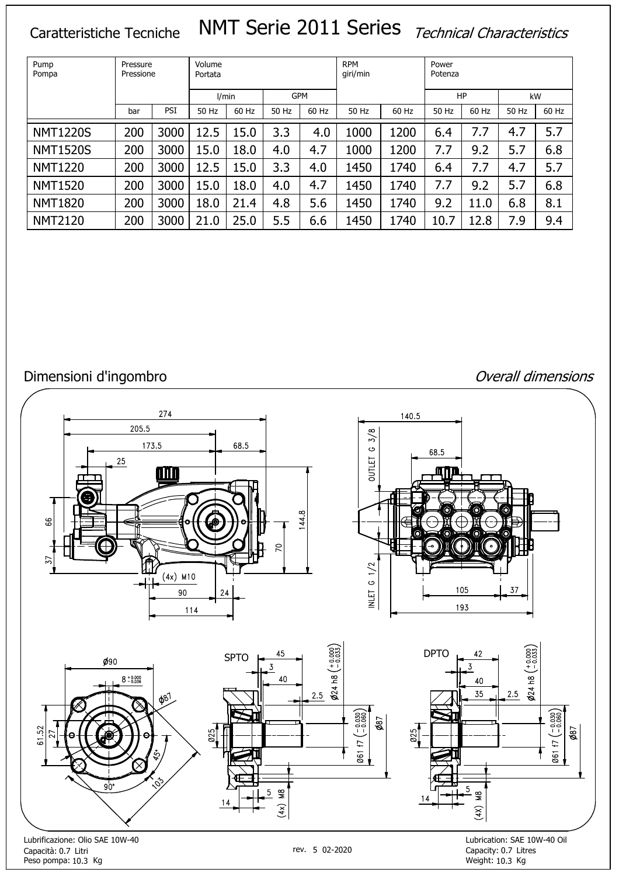# Caratteristiche Tecniche NMT Serie 2011 Series Technical Characteristics

| Pump<br>Pompa   | Pressure<br>Pressione |      | Volume<br>Portata |       |       |            | <b>RPM</b><br>giri/min |       | Power<br>Potenza |       |       |       |  |  |
|-----------------|-----------------------|------|-------------------|-------|-------|------------|------------------------|-------|------------------|-------|-------|-------|--|--|
|                 |                       |      |                   | I/min |       | <b>GPM</b> |                        |       |                  | HP    |       | kW    |  |  |
|                 | bar                   | PSI  | 50 Hz             | 60 Hz | 50 Hz | 60 Hz      | 50 Hz                  | 60 Hz | 50 Hz            | 60 Hz | 50 Hz | 60 Hz |  |  |
| <b>NMT1220S</b> | 200                   | 3000 | 12.5              | 15.0  | 3.3   | 4.0        | 1000                   | 1200  | 6.4              | 7.7   | 4.7   | 5.7   |  |  |
| <b>NMT1520S</b> | 200                   | 3000 | 15.0              | 18.0  | 4.0   | 4.7        | 1000                   | 1200  | 7.7              | 9.2   | 5.7   | 6.8   |  |  |
| <b>NMT1220</b>  | 200                   | 3000 | 12.5              | 15.0  | 3.3   | 4.0        | 1450                   | 1740  | 6.4              | 7.7   | 4.7   | 5.7   |  |  |
| <b>NMT1520</b>  | 200                   | 3000 | 15.0              | 18.0  | 4.0   | 4.7        | 1450                   | 1740  | 7.7              | 9.2   | 5.7   | 6.8   |  |  |
| <b>NMT1820</b>  | 200                   | 3000 | 18.0              | 21.4  | 4.8   | 5.6        | 1450                   | 1740  | 9.2              | 11.0  | 6.8   | 8.1   |  |  |
| <b>NMT2120</b>  | 200                   | 3000 | 21.0              | 25.0  | 5.5   | 6.6        | 1450                   | 1740  | 10.7             | 12.8  | 7.9   | 9.4   |  |  |

# Dimensioni d'ingombro de l'anno 1999 de la component de la component de la component de la component d'anno 19

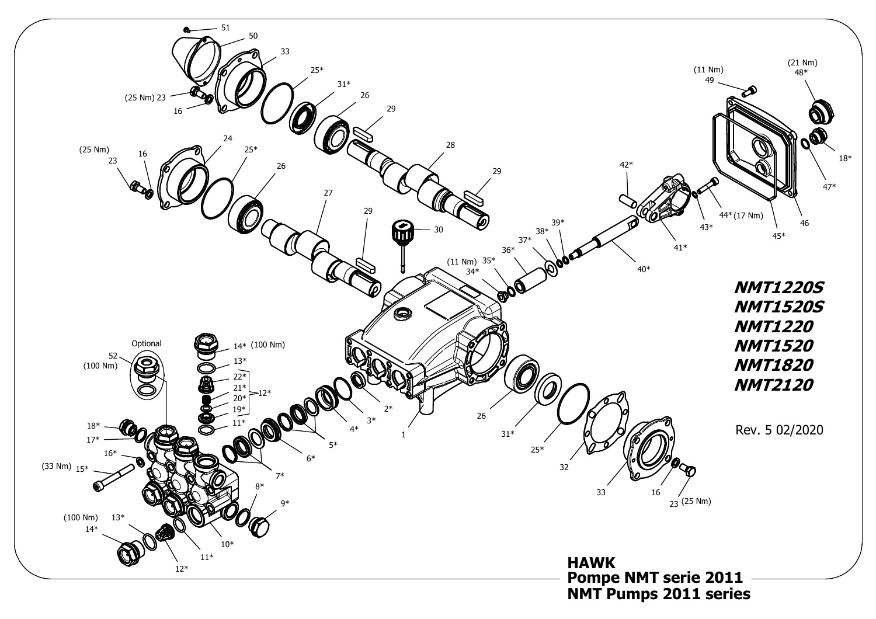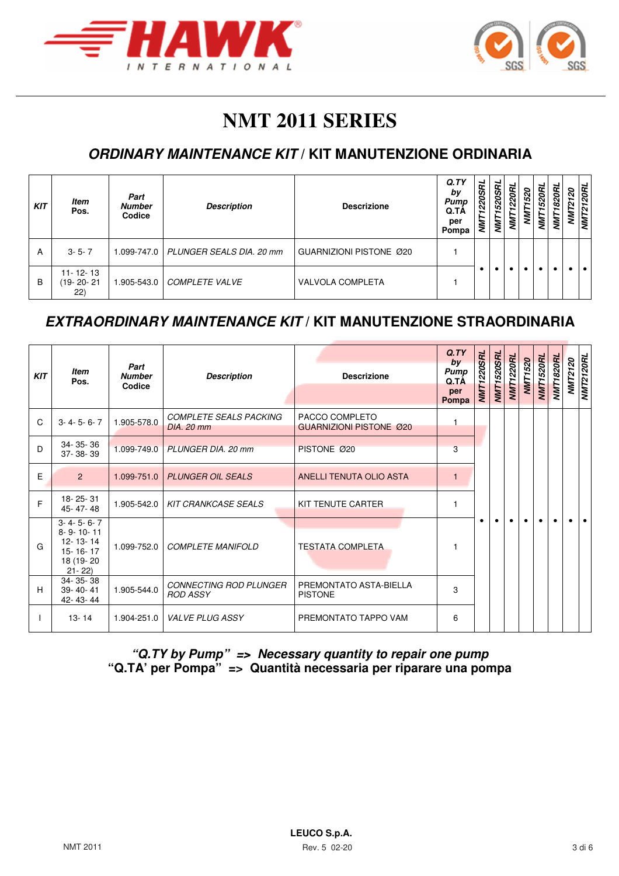



# **NMT 2011 SERIES**

## **ORDINARY MAINTENANCE KIT / KIT MANUTENZIONE ORDINARIA**

| <b>KIT</b> | <b>Item</b><br>Pos.               | Part<br><b>Number</b><br>Codice | <b>Description</b>                   | <b>Descrizione</b>      | Q.TY<br>by<br>Pump<br>Q.TÀ<br>per<br>Pompa | <b>NWT1220SRL</b> | 1520SRL<br><b>NNT</b> | 1220RL<br><b>TIMI</b> | 1520<br>ξ | 520RL<br>⋚ | m<br>820<br>₹ | 0 | 20R<br>∽<br>$\sim$<br>ŃΜ |
|------------|-----------------------------------|---------------------------------|--------------------------------------|-------------------------|--------------------------------------------|-------------------|-----------------------|-----------------------|-----------|------------|---------------|---|--------------------------|
| A          | $3 - 5 - 7$                       |                                 | 1.099-747.0 PLUNGER SEALS DIA, 20 mm | GUARNIZIONI PISTONE Ø20 |                                            |                   |                       |                       |           |            |               |   |                          |
| B          | $11 - 12 - 13$<br>19-20-21<br>22) | 1.905-543.0                     | <b>COMPLETE VALVE</b>                | <b>VALVOLA COMPLETA</b> |                                            |                   |                       |                       |           |            |               |   |                          |

#### **EXTRAORDINARY MAINTENANCE KIT / KIT MANUTENZIONE STRAORDINARIA**

| <b>KIT</b> | ltem<br>Pos.                                                                         | Part<br><b>Number</b><br>Codice | <b>Description</b>                          | <b>Descrizione</b>                               | Q. TY<br>by<br><b>Pump</b><br>Q.TA<br>per<br>Pompa | <b>NMT1220SRL</b> | <b>NMT1520SRL</b> | NMT1220RL | <b>NMT1520</b> | NMT1520RL | NMT1820RL | <b>NMT2120</b><br>NMT2120RL |  |
|------------|--------------------------------------------------------------------------------------|---------------------------------|---------------------------------------------|--------------------------------------------------|----------------------------------------------------|-------------------|-------------------|-----------|----------------|-----------|-----------|-----------------------------|--|
| C          | $3 - 4 - 5 - 6 - 7$                                                                  | 1.905-578.0                     | <b>COMPLETE SEALS PACKING</b><br>DIA, 20 mm | PACCO COMPLETO<br><b>GUARNIZIONI PISTONE Ø20</b> |                                                    |                   |                   |           |                |           |           |                             |  |
| D          | 34-35-36<br>37-38-39                                                                 | 1.099-749.0                     | PLUNGER DIA, 20 mm                          | PISTONE Ø20                                      | 3                                                  |                   |                   |           |                |           |           |                             |  |
| Ε          | $\overline{2}$                                                                       | 1.099-751.0                     | <b>PLUNGER OIL SEALS</b>                    | ANELLI TENUTA OLIO ASTA                          | $\mathbf{1}$                                       |                   |                   |           |                |           |           |                             |  |
| E          | 18-25-31<br>45-47-48                                                                 | 1.905-542.0                     | <b>KIT CRANKCASE SEALS</b>                  | KIT TENUTE CARTER                                |                                                    |                   |                   |           |                |           |           |                             |  |
| G          | $3 - 4 - 5 - 6 - 7$<br>8-9-10-11<br>12-13-14<br>15-16-17<br>18 (19 - 20<br>$21 - 22$ | 1.099-752.0                     | <b>COMPLETE MANIFOLD</b>                    | <b>TESTATA COMPLETA</b>                          |                                                    |                   |                   |           |                |           |           |                             |  |
| H          | 34-35-38<br>$39 - 40 - 41$<br>42-43-44                                               | 1.905-544.0                     | CONNECTING ROD PLUNGER<br><b>ROD ASSY</b>   | PREMONTATO ASTA-BIELLA<br><b>PISTONE</b>         | 3                                                  |                   |                   |           |                |           |           |                             |  |
|            | $13 - 14$                                                                            | 1.904-251.0                     | <b>VALVE PLUG ASSY</b>                      | PREMONTATO TAPPO VAM                             | 6                                                  |                   |                   |           |                |           |           |                             |  |

**"Q.TY by Pump" => Necessary quantity to repair one pump "Q.TA' per Pompa" => Quantità necessaria per riparare una pompa**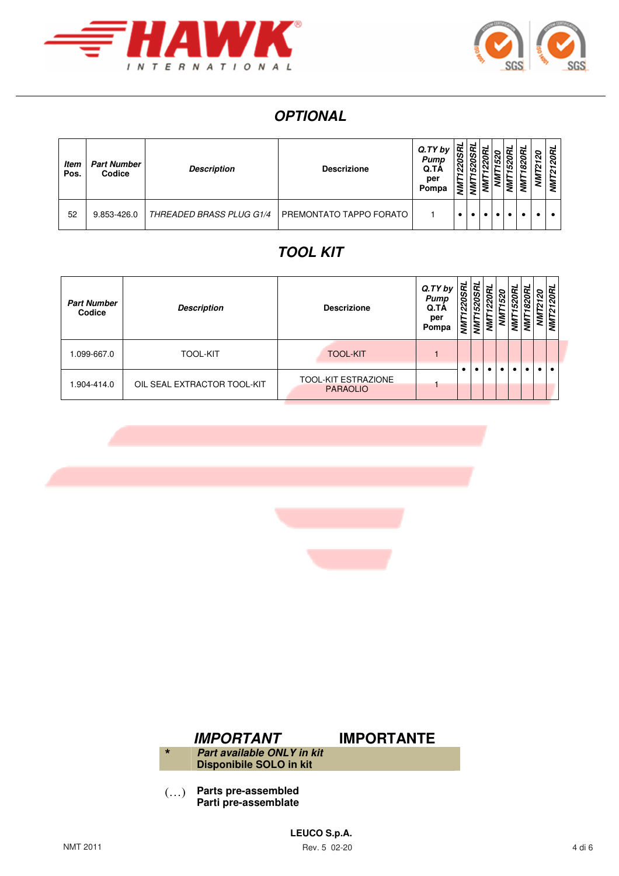



# **OPTIONAL**

| ltem<br>Pos. | <b>Part Number</b><br>Codice | <b>Description</b>              | <b>Descrizione</b>      | Q. TY bV<br>Pump<br>Q.TA<br>per<br>Pompa | 220<br>∼<br>š |  |  | ∞<br>2 | ຊ<br>∽<br>N<br>∼<br>ŠΝ | 20RL<br>∽<br>N<br>∼<br>Μ |
|--------------|------------------------------|---------------------------------|-------------------------|------------------------------------------|---------------|--|--|--------|------------------------|--------------------------|
| 52           | 9.853-426.0                  | <b>THREADED BRASS PLUG G1/4</b> | PREMONTATO TAPPO FORATO |                                          |               |  |  |        |                        |                          |

## **TOOL KIT**

| <b>Part Number</b><br>Codice | <b>Description</b>          | <b>Descrizione</b>                            | Q.TY by<br>Pump<br>Q.TA<br>per<br>Pompa | ᢝ<br>$\mathcal{S}$<br>N<br>ξ | s |  |  | っ | 20RL<br>NMT <sub>2</sub> |
|------------------------------|-----------------------------|-----------------------------------------------|-----------------------------------------|------------------------------|---|--|--|---|--------------------------|
| 1.099-667.0                  | <b>TOOL-KIT</b>             | <b>TOOL-KIT</b>                               |                                         |                              |   |  |  |   |                          |
| 1.904-414.0                  | OIL SEAL EXTRACTOR TOOL-KIT | <b>TOOL-KIT ESTRAZIONE</b><br><b>PARAOLIO</b> |                                         |                              |   |  |  |   |                          |



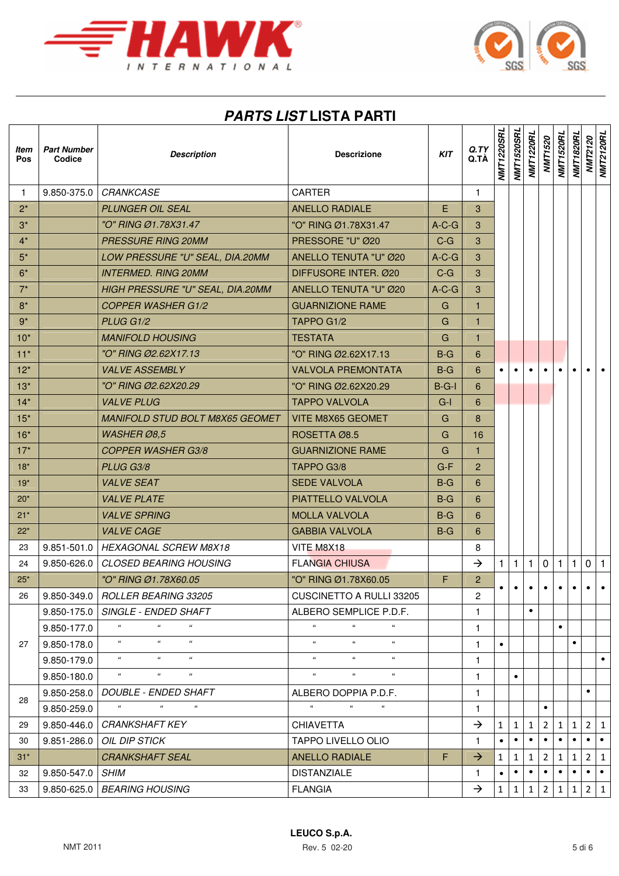



# **PARTS LIST LISTA PARTI**

| ltem<br>Pos | <b>Part Number</b><br>Codice | <b>Description</b>                                             | <b>Descrizione</b>                                   | <b>KIT</b> | Q. TY<br>Q.TÀ  | <b>NMT1220SRL</b> | <b>NMT1520SRL</b> | <b>NMT1220RL</b> | <b>NMT1520</b> | <b>NMT1520RL</b> | NMT1820RL    | <b>NMT2120</b><br>NMT2120RL |           |
|-------------|------------------------------|----------------------------------------------------------------|------------------------------------------------------|------------|----------------|-------------------|-------------------|------------------|----------------|------------------|--------------|-----------------------------|-----------|
| 1           | 9.850-375.0                  | <b>CRANKCASE</b>                                               | <b>CARTER</b>                                        |            | 1              |                   |                   |                  |                |                  |              |                             |           |
| $2^*$       |                              | <b>PLUNGER OIL SEAL</b>                                        | <b>ANELLO RADIALE</b>                                | E          | 3              |                   |                   |                  |                |                  |              |                             |           |
| $3^*$       |                              | "O" RING Ø1.78X31.47                                           | "O" RING Ø1.78X31.47                                 | $A-C-G$    | 3              |                   |                   |                  |                |                  |              |                             |           |
| $4^*$       |                              | <b>PRESSURE RING 20MM</b>                                      | PRESSORE "U" Ø20                                     | $C-G$      | 3              |                   |                   |                  |                |                  |              |                             |           |
| $5^*$       |                              | LOW PRESSURE "U" SEAL, DIA.20MM                                | ANELLO TENUTA "U" Ø20                                | $A-C-G$    | 3              |                   |                   |                  |                |                  |              |                             |           |
| $6*$        |                              | <b>INTERMED. RING 20MM</b>                                     | DIFFUSORE INTER. Ø20                                 | $C-G$      | 3              |                   |                   |                  |                |                  |              |                             |           |
| $7^*$       |                              | HIGH PRESSURE "U" SEAL, DIA.20MM                               | ANELLO TENUTA "U" Ø20                                | $A-C-G$    | 3              |                   |                   |                  |                |                  |              |                             |           |
| $8*$        |                              | <b>COPPER WASHER G1/2</b>                                      | <b>GUARNIZIONE RAME</b>                              | G          | $\mathbf{1}$   |                   |                   |                  |                |                  |              |                             |           |
| $9*$        |                              | PLUG G1/2                                                      | TAPPO G1/2                                           | G          | $\mathbf{1}$   |                   |                   |                  |                |                  |              |                             |           |
| $10*$       |                              | <b>MANIFOLD HOUSING</b>                                        | <b>TESTATA</b>                                       | G          | $\mathbf{1}$   |                   |                   |                  |                |                  |              |                             |           |
| $11*$       |                              | "O" RING Ø2.62X17.13                                           | "O" RING Ø2.62X17.13                                 | $B-G$      | 6              |                   |                   |                  |                |                  |              |                             |           |
| $12*$       |                              | <b>VALVE ASSEMBLY</b>                                          | <b>VALVOLA PREMONTATA</b>                            | $B-G$      | 6              |                   |                   |                  |                |                  |              |                             |           |
| $13*$       |                              | "O" RING Ø2.62X20.29                                           | "O" RING Ø2.62X20.29                                 | $B-G-I$    | 6              |                   |                   |                  |                |                  |              |                             |           |
| $14*$       |                              | <b>VALVE PLUG</b>                                              | <b>TAPPO VALVOLA</b>                                 | $G-I$      | 6              |                   |                   |                  |                |                  |              |                             |           |
| $15*$       |                              | <b>MANIFOLD STUD BOLT M8X65 GEOMET</b>                         | VITE M8X65 GEOMET                                    | G          | 8              |                   |                   |                  |                |                  |              |                             |           |
| $16*$       |                              | WASHER Ø8,5                                                    | ROSETTA Ø8.5                                         | G          | 16             |                   |                   |                  |                |                  |              |                             |           |
| $17*$       |                              | <b>COPPER WASHER G3/8</b>                                      | <b>GUARNIZIONE RAME</b>                              | G          | $\mathbf{1}$   |                   |                   |                  |                |                  |              |                             |           |
| $18*$       |                              | PLUG G3/8                                                      | TAPPO G3/8                                           | $G-F$      | $\overline{2}$ |                   |                   |                  |                |                  |              |                             |           |
| $19*$       |                              | <b>VALVE SEAT</b>                                              | <b>SEDE VALVOLA</b>                                  | $B-G$      | 6              |                   |                   |                  |                |                  |              |                             |           |
| $20*$       |                              | <b>VALVE PLATE</b>                                             | PIATTELLO VALVOLA                                    | $B-G$      | 6              |                   |                   |                  |                |                  |              |                             |           |
| $21*$       |                              | <b>VALVE SPRING</b>                                            | <b>MOLLA VALVOLA</b>                                 | $B-G$      | 6              |                   |                   |                  |                |                  |              |                             |           |
| $22*$       |                              | <b>VALVE CAGE</b>                                              | <b>GABBIA VALVOLA</b>                                | $B-G$      | 6              |                   |                   |                  |                |                  |              |                             |           |
| 23          |                              | 9.851-501.0   HEXAGONAL SCREW M8X18                            | VITE M8X18                                           |            | 8              |                   |                   |                  |                |                  |              |                             |           |
| 24          | 9.850-626.0                  | <b>CLOSED BEARING HOUSING</b>                                  | <b>FLANGIA CHIUSA</b>                                |            | $\rightarrow$  | $\mathbf{1}$      | 1                 | $\mathbf{1}$     | $\mathsf 0$    | $\vert$ 1        | $\mathbf{1}$ | $0 \mid 1$                  |           |
| $25*$       |                              | "O" RING Ø1.78X60.05                                           | "O" RING Ø1.78X60.05                                 | F.         | $\overline{c}$ | $\bullet$         | $\bullet$         | $\bullet$        | $\bullet$      | $\bullet$        | $\bullet$    | $\bullet$                   |           |
| 26          |                              | 9.850-349.0   ROLLER BEARING 33205                             | CUSCINETTO A RULLI 33205                             |            | $\overline{c}$ |                   |                   |                  |                |                  |              |                             |           |
|             | 9.850-175.0                  | SINGLE - ENDED SHAFT                                           | ALBERO SEMPLICE P.D.F.                               |            | $\mathbf{1}$   |                   |                   | $\bullet$        |                |                  |              |                             |           |
|             | 9.850-177.0                  | $\mathcal{U}$<br>$\epsilon\epsilon$<br>$\epsilon\epsilon$      | $\epsilon\epsilon$                                   |            | $\mathbf{1}$   |                   |                   |                  |                | $\bullet$        |              |                             |           |
| 27          | 9.850-178.0                  | $\mu$<br>$\epsilon\epsilon$<br>$\epsilon\epsilon$              | $\epsilon$<br>$\epsilon\epsilon$<br>$\alpha$         |            | $\mathbf{1}$   | $\bullet$         |                   |                  |                |                  | $\bullet$    |                             |           |
|             | 9.850-179.0                  | $\alpha$<br>$\alpha$<br>$\epsilon$                             | $\epsilon$<br>$\alpha$<br>$\alpha$                   |            | 1              |                   |                   |                  |                |                  |              |                             | $\bullet$ |
|             | 9.850-180.0                  | $\epsilon\epsilon$<br>$\epsilon\epsilon$<br>$\epsilon\epsilon$ | $\alpha$<br>$\epsilon\epsilon$<br>$\epsilon\epsilon$ |            | $\mathbf{1}$   |                   |                   |                  |                |                  |              |                             |           |
| 28          | $9.850 - 258.0$              | <i>DOUBLE - ENDED SHAFT</i>                                    | ALBERO DOPPIA P.D.F.                                 |            | 1              |                   |                   |                  |                |                  |              | $\bullet$                   |           |
|             | 9.850-259.0                  | $\alpha$<br>$\alpha$<br>$\mu$                                  | $\alpha$<br>$\alpha$<br>$\epsilon$                   |            | 1              |                   |                   |                  |                |                  |              |                             |           |
| 29          | 9.850-446.0                  | <b>CRANKSHAFT KEY</b>                                          | <b>CHIAVETTA</b>                                     |            | $\rightarrow$  | $\mathbf{1}$      | $\mathbf{1}$      | $\mathbf{1}$     | 2              | 1                | $\mathbf{1}$ | $\overline{2}$              | $\vert$ 1 |
| 30          | 9.851-286.0                  | OIL DIP STICK                                                  | <b>TAPPO LIVELLO OLIO</b>                            |            | 1.             |                   | $\bullet$         | $\bullet$        |                |                  | $\bullet$    | $\bullet$                   | $\bullet$ |
| $31*$       |                              | <b>CRANKSHAFT SEAL</b>                                         | <b>ANELLO RADIALE</b>                                | F          | $\rightarrow$  | $\mathbf{1}$      | $1 \mid$          | $\mathbf{1}$     | $\overline{2}$ | $\mathbf{1}$     | $\mathbf{1}$ | 2 1                         |           |
| 32          | 9.850-547.0                  | <i>SHIM</i>                                                    | <b>DISTANZIALE</b>                                   |            | $\mathbf{1}$   | $\bullet$         | $\bullet$         | $\bullet$        | $\bullet$      | $\bullet$        | $\bullet$    | $\bullet$                   | ∣•        |
| 33          | 9.850-625.0                  | <b>BEARING HOUSING</b>                                         | <b>FLANGIA</b>                                       |            | $\rightarrow$  | $\mathbf{1}$      | 1                 | 1                | 2              | 1                | $\mathbf{1}$ | $\overline{2}$              | 1         |